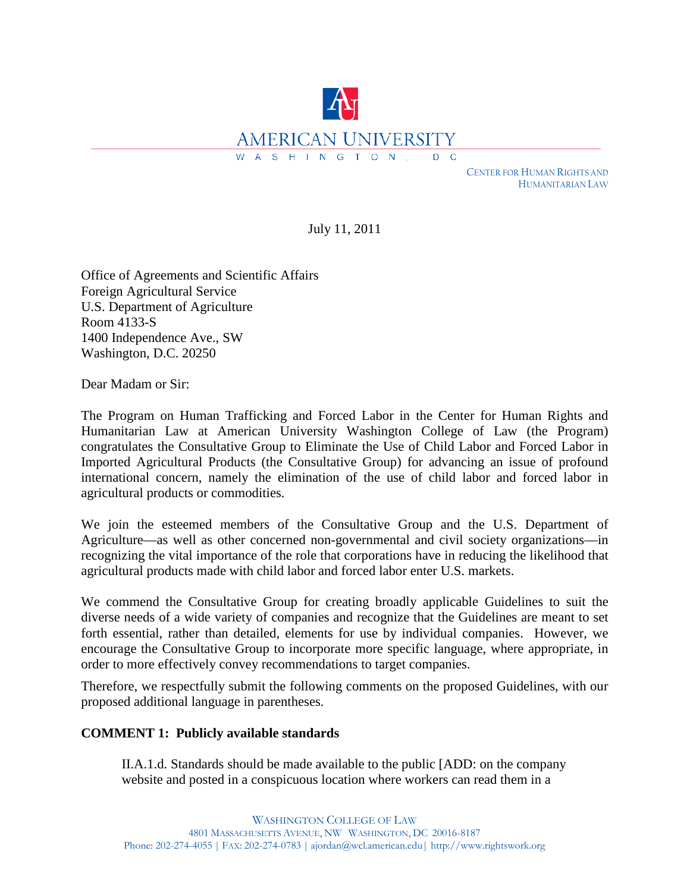

 CENTER FOR HUMAN RIGHTS AND HUMANITARIAN LAW

July 11, 2011

Office of Agreements and Scientific Affairs Foreign Agricultural Service U.S. Department of Agriculture Room 4133-S 1400 Independence Ave., SW Washington, D.C. 20250

Dear Madam or Sir:

The Program on Human Trafficking and Forced Labor in the Center for Human Rights and Humanitarian Law at American University Washington College of Law (the Program) congratulates the Consultative Group to Eliminate the Use of Child Labor and Forced Labor in Imported Agricultural Products (the Consultative Group) for advancing an issue of profound international concern, namely the elimination of the use of child labor and forced labor in agricultural products or commodities.

We join the esteemed members of the Consultative Group and the U.S. Department of Agriculture—as well as other concerned non-governmental and civil society organizations—in recognizing the vital importance of the role that corporations have in reducing the likelihood that agricultural products made with child labor and forced labor enter U.S. markets.

We commend the Consultative Group for creating broadly applicable Guidelines to suit the diverse needs of a wide variety of companies and recognize that the Guidelines are meant to set forth essential, rather than detailed, elements for use by individual companies. However, we encourage the Consultative Group to incorporate more specific language, where appropriate, in order to more effectively convey recommendations to target companies.

Therefore, we respectfully submit the following comments on the proposed Guidelines, with our proposed additional language in parentheses.

### **COMMENT 1: Publicly available standards**

II.A.1.d. Standards should be made available to the public [ADD: on the company website and posted in a conspicuous location where workers can read them in a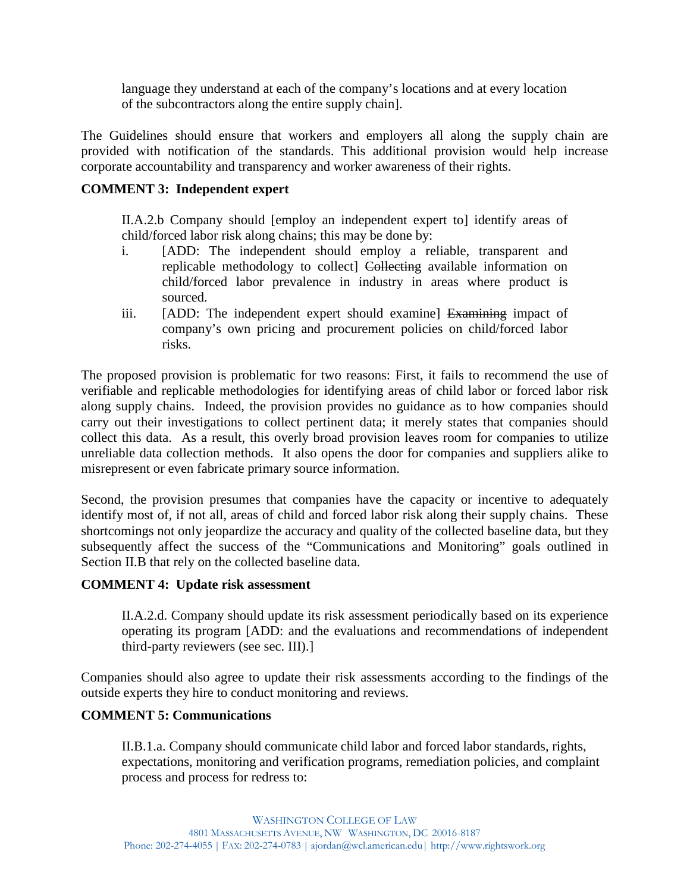language they understand at each of the company's locations and at every location of the subcontractors along the entire supply chain].

The Guidelines should ensure that workers and employers all along the supply chain are provided with notification of the standards. This additional provision would help increase corporate accountability and transparency and worker awareness of their rights.

# **COMMENT 3: Independent expert**

II.A.2.b Company should [employ an independent expert to] identify areas of child/forced labor risk along chains; this may be done by:

- i. [ADD: The independent should employ a reliable, transparent and replicable methodology to collect] Collecting available information on child/forced labor prevalence in industry in areas where product is sourced.
- iii. [ADD: The independent expert should examine] Examining impact of company's own pricing and procurement policies on child/forced labor risks.

The proposed provision is problematic for two reasons: First, it fails to recommend the use of verifiable and replicable methodologies for identifying areas of child labor or forced labor risk along supply chains. Indeed, the provision provides no guidance as to how companies should carry out their investigations to collect pertinent data; it merely states that companies should collect this data. As a result, this overly broad provision leaves room for companies to utilize unreliable data collection methods. It also opens the door for companies and suppliers alike to misrepresent or even fabricate primary source information.

Second, the provision presumes that companies have the capacity or incentive to adequately identify most of, if not all, areas of child and forced labor risk along their supply chains. These shortcomings not only jeopardize the accuracy and quality of the collected baseline data, but they subsequently affect the success of the "Communications and Monitoring" goals outlined in Section II.B that rely on the collected baseline data.

## **COMMENT 4: Update risk assessment**

II.A.2.d. Company should update its risk assessment periodically based on its experience operating its program [ADD: and the evaluations and recommendations of independent third-party reviewers (see sec. III).]

Companies should also agree to update their risk assessments according to the findings of the outside experts they hire to conduct monitoring and reviews.

## **COMMENT 5: Communications**

II.B.1.a. Company should communicate child labor and forced labor standards, rights, expectations, monitoring and verification programs, remediation policies, and complaint process and process for redress to: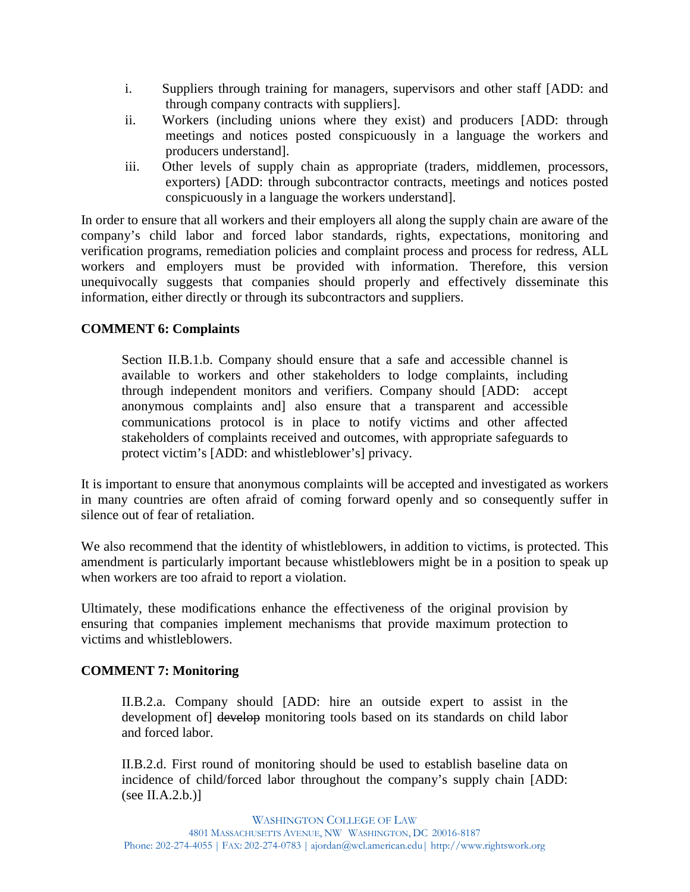- i. Suppliers through training for managers, supervisors and other staff [ADD: and through company contracts with suppliers].
- ii. Workers (including unions where they exist) and producers [ADD: through meetings and notices posted conspicuously in a language the workers and producers understand].
- iii. Other levels of supply chain as appropriate (traders, middlemen, processors, exporters) [ADD: through subcontractor contracts, meetings and notices posted conspicuously in a language the workers understand].

In order to ensure that all workers and their employers all along the supply chain are aware of the company's child labor and forced labor standards, rights, expectations, monitoring and verification programs, remediation policies and complaint process and process for redress, ALL workers and employers must be provided with information. Therefore, this version unequivocally suggests that companies should properly and effectively disseminate this information, either directly or through its subcontractors and suppliers.

## **COMMENT 6: Complaints**

Section II.B.1.b. Company should ensure that a safe and accessible channel is available to workers and other stakeholders to lodge complaints, including through independent monitors and verifiers. Company should [ADD: accept anonymous complaints and] also ensure that a transparent and accessible communications protocol is in place to notify victims and other affected stakeholders of complaints received and outcomes, with appropriate safeguards to protect victim's [ADD: and whistleblower's] privacy.

It is important to ensure that anonymous complaints will be accepted and investigated as workers in many countries are often afraid of coming forward openly and so consequently suffer in silence out of fear of retaliation.

We also recommend that the identity of whistleblowers, in addition to victims, is protected. This amendment is particularly important because whistleblowers might be in a position to speak up when workers are too afraid to report a violation.

Ultimately, these modifications enhance the effectiveness of the original provision by ensuring that companies implement mechanisms that provide maximum protection to victims and whistleblowers.

### **COMMENT 7: Monitoring**

II.B.2.a. Company should [ADD: hire an outside expert to assist in the development of] develop monitoring tools based on its standards on child labor and forced labor.

II.B.2.d. First round of monitoring should be used to establish baseline data on incidence of child/forced labor throughout the company's supply chain [ADD:  $(see II.A.2.b.)$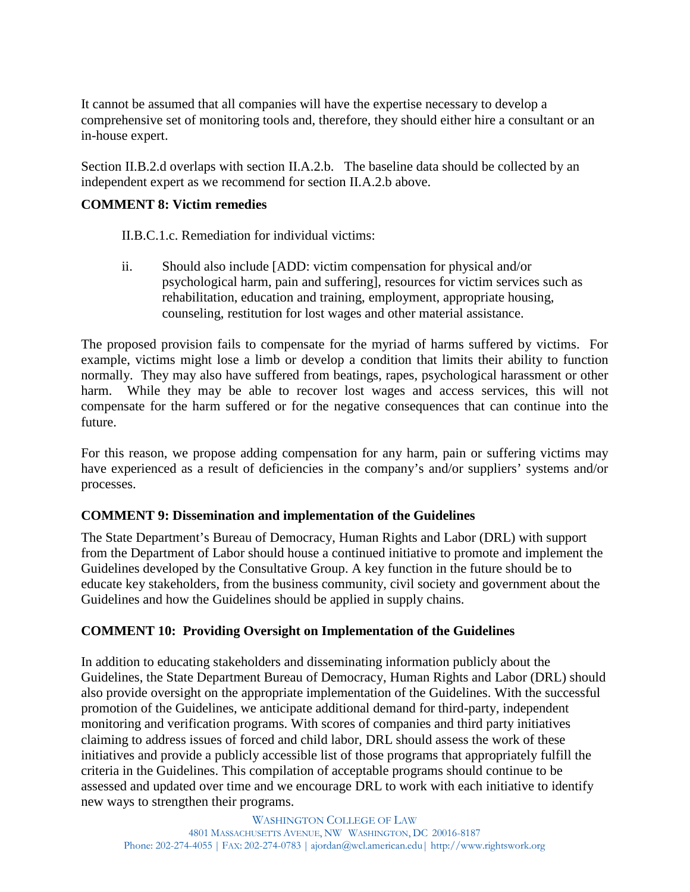It cannot be assumed that all companies will have the expertise necessary to develop a comprehensive set of monitoring tools and, therefore, they should either hire a consultant or an in-house expert.

Section II.B.2.d overlaps with section II.A.2.b. The baseline data should be collected by an independent expert as we recommend for section II.A.2.b above.

### **COMMENT 8: Victim remedies**

II.B.C.1.c. Remediation for individual victims:

ii. Should also include [ADD: victim compensation for physical and/or psychological harm, pain and suffering], resources for victim services such as rehabilitation, education and training, employment, appropriate housing, counseling, restitution for lost wages and other material assistance.

The proposed provision fails to compensate for the myriad of harms suffered by victims. For example, victims might lose a limb or develop a condition that limits their ability to function normally. They may also have suffered from beatings, rapes, psychological harassment or other harm. While they may be able to recover lost wages and access services, this will not compensate for the harm suffered or for the negative consequences that can continue into the future.

For this reason, we propose adding compensation for any harm, pain or suffering victims may have experienced as a result of deficiencies in the company's and/or suppliers' systems and/or processes.

### **COMMENT 9: Dissemination and implementation of the Guidelines**

The State Department's Bureau of Democracy, Human Rights and Labor (DRL) with support from the Department of Labor should house a continued initiative to promote and implement the Guidelines developed by the Consultative Group. A key function in the future should be to educate key stakeholders, from the business community, civil society and government about the Guidelines and how the Guidelines should be applied in supply chains.

## **COMMENT 10: Providing Oversight on Implementation of the Guidelines**

In addition to educating stakeholders and disseminating information publicly about the Guidelines, the State Department Bureau of Democracy, Human Rights and Labor (DRL) should also provide oversight on the appropriate implementation of the Guidelines. With the successful promotion of the Guidelines, we anticipate additional demand for third-party, independent monitoring and verification programs. With scores of companies and third party initiatives claiming to address issues of forced and child labor, DRL should assess the work of these initiatives and provide a publicly accessible list of those programs that appropriately fulfill the criteria in the Guidelines. This compilation of acceptable programs should continue to be assessed and updated over time and we encourage DRL to work with each initiative to identify new ways to strengthen their programs.